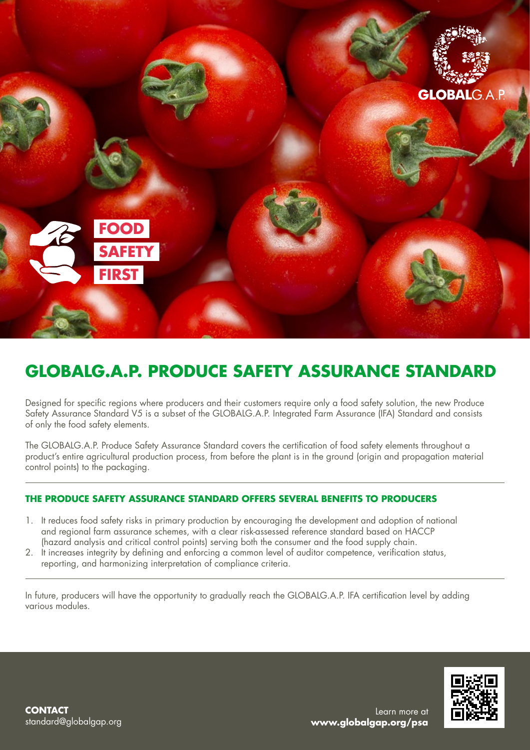

## **GLOBALG.A.P. PRODUCE SAFETY ASSURANCE STANDARD**

Designed for specific regions where producers and their customers require only a food safety solution, the new Produce Safety Assurance Standard V5 is a subset of the GLOBALG.A.P. Integrated Farm Assurance (IFA) Standard and consists of only the food safety elements.

The GLOBALG.A.P. Produce Safety Assurance Standard covers the certification of food safety elements throughout a product's entire agricultural production process, from before the plant is in the ground (origin and propagation material control points) to the packaging.

### **THE PRODUCE SAFETY ASSURANCE STANDARD OFFERS SEVERAL BENEFITS TO PRODUCERS**

- 1. It reduces food safety risks in primary production by encouraging the development and adoption of national and regional farm assurance schemes, with a clear risk-assessed reference standard based on HACCP (hazard analysis and critical control points) serving both the consumer and the food supply chain.
- 2. It increases integrity by defining and enforcing a common level of auditor competence, verification status, reporting, and harmonizing interpretation of compliance criteria.

In future, producers will have the opportunity to gradually reach the GLOBALG.A.P. IFA certification level by adding various modules.